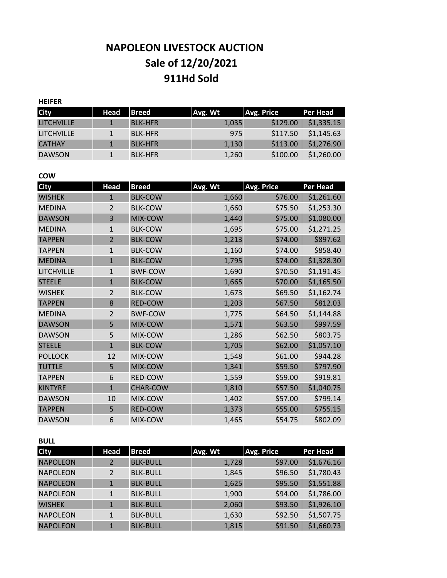# **NAPOLEON LIVESTOCK AUCTION Sale of 12/20/2021 911Hd Sold**

## **HEIFER City Head Breed Avg. Wt Avg. Price Per Head** LITCHVILLE 1 BLK-HFR 1,035 \$129.00 \$1,335.15 LITCHVILLE 1 BLK-HFR 975 \$117.50 \$1,145.63 CATHAY 1 BLK-HFR 1,130 \$113.00 \$1,276.90 DAWSON 1 BLK-HFR 1,260 \$100.00 \$1,260.00

#### **COW**

| <b>City</b>       | <b>Head</b>    | <b>Breed</b>    | Avg. Wt | <b>Avg. Price</b> | <b>Per Head</b> |
|-------------------|----------------|-----------------|---------|-------------------|-----------------|
| <b>WISHEK</b>     | $\mathbf{1}$   | <b>BLK-COW</b>  | 1,660   | \$76.00           | \$1,261.60      |
| <b>MEDINA</b>     | $\overline{2}$ | <b>BLK-COW</b>  | 1,660   | \$75.50           | \$1,253.30      |
| <b>DAWSON</b>     | 3              | MIX-COW         | 1,440   | \$75.00           | \$1,080.00      |
| <b>MEDINA</b>     | $\mathbf{1}$   | <b>BLK-COW</b>  | 1,695   | \$75.00           | \$1,271.25      |
| <b>TAPPEN</b>     | $\overline{2}$ | <b>BLK-COW</b>  | 1,213   | \$74.00           | \$897.62        |
| <b>TAPPEN</b>     | $\mathbf{1}$   | <b>BLK-COW</b>  | 1,160   | \$74.00           | \$858.40        |
| <b>MEDINA</b>     | $\mathbf{1}$   | <b>BLK-COW</b>  | 1,795   | \$74.00           | \$1,328.30      |
| <b>LITCHVILLE</b> | $\mathbf{1}$   | <b>BWF-COW</b>  | 1,690   | \$70.50           | \$1,191.45      |
| <b>STEELE</b>     | $\mathbf{1}$   | <b>BLK-COW</b>  | 1,665   | \$70.00           | \$1,165.50      |
| <b>WISHEK</b>     | $\overline{2}$ | <b>BLK-COW</b>  | 1,673   | \$69.50           | \$1,162.74      |
| <b>TAPPEN</b>     | 8              | RED-COW         | 1,203   | \$67.50           | \$812.03        |
| <b>MEDINA</b>     | $\overline{2}$ | <b>BWF-COW</b>  | 1,775   | \$64.50           | \$1,144.88      |
| <b>DAWSON</b>     | 5              | MIX-COW         | 1,571   | \$63.50           | \$997.59        |
| <b>DAWSON</b>     | 5              | MIX-COW         | 1,286   | \$62.50           | \$803.75        |
| <b>STEELE</b>     | $\mathbf{1}$   | <b>BLK-COW</b>  | 1,705   | \$62.00           | \$1,057.10      |
| <b>POLLOCK</b>    | 12             | MIX-COW         | 1,548   | \$61.00           | \$944.28        |
| <b>TUTTLE</b>     | 5              | MIX-COW         | 1,341   | \$59.50           | \$797.90        |
| <b>TAPPEN</b>     | 6              | RED-COW         | 1,559   | \$59.00           | \$919.81        |
| <b>KINTYRE</b>    | $\mathbf{1}$   | <b>CHAR-COW</b> | 1,810   | \$57.50           | \$1,040.75      |
| <b>DAWSON</b>     | 10             | MIX-COW         | 1,402   | \$57.00           | \$799.14        |
| <b>TAPPEN</b>     | 5              | <b>RED-COW</b>  | 1,373   | \$55.00           | \$755.15        |
| <b>DAWSON</b>     | 6              | MIX-COW         | 1,465   | \$54.75           | \$802.09        |

#### **BULL**

| <b>City</b>     | <b>Head</b>    | <b>Breed</b>    | Avg. Wt | Avg. Price | <b>Per Head</b> |
|-----------------|----------------|-----------------|---------|------------|-----------------|
| <b>NAPOLEON</b> | $\overline{2}$ | <b>BLK-BULL</b> | 1,728   | \$97.00    | \$1,676.16      |
| <b>NAPOLEON</b> | 2              | <b>BLK-BULL</b> | 1,845   | \$96.50    | \$1,780.43      |
| <b>NAPOLEON</b> |                | <b>BLK-BULL</b> | 1,625   | \$95.50    | \$1,551.88      |
| <b>NAPOLEON</b> | 1              | <b>BLK-BULL</b> | 1,900   | \$94.00    | \$1,786.00      |
| <b>WISHEK</b>   | 1              | <b>BLK-BULL</b> | 2,060   | \$93.50    | \$1,926.10      |
| <b>NAPOLEON</b> | $\mathbf{1}$   | <b>BLK-BULL</b> | 1,630   | \$92.50    | \$1,507.75      |
| <b>NAPOLEON</b> | 1              | <b>BLK-BULL</b> | 1,815   | \$91.50    | \$1,660.73      |